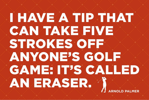## **ARNOLD PALMER** I HAVE A TIP THAT CAN TAKE FIVE STROKES OFF ANYONE'S GOLF GAME: IT'S CALLED AN ERASER. 1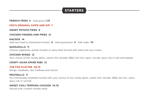## **STARTERS**

#### **FRENCH FRIES 5** Add gravy **1.75**

#### **FOX'S ORIGINAL CHIPS AND DIP 7**

#### **SWEET POTATO FRIES 9**

#### **CHICKEN FINGERS AND FRIES 12**

#### **NACHOS 14**

Add taco beef or blackened chicken **5** Add guacamole **3** Half order **10**

#### **QUESADILLA 11**

Choose vegetarian, pulled chicken or spicy beef Served with salsa and sour cream

#### **CHICKEN WINGS 12** Your choice of hot, honey garlic, sweet chili, teriyaki, BBQ, teri-hot, cajun, suicide, spicy rub or salt and pepper

#### **CRISPY ASIAN SPARE RIBS 12**

#### **THE FOX PLATTER 29.75**

Wings, meatballs, ribs, kielbasa and nachos

#### **MEATBALLS 11**

Our homemade meatballs tossed with your choice of hot, honey garlic, sweet chili, teriyaki, BBQ, teri-hot, cajun, spicy rub or suicide

#### **SWEET CHILI TEMPURA CHICKEN 10.75**

Served over a steam noodle salad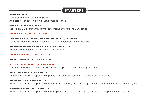## **STARTERS**

#### **POUTINE 9.75**

Smothered with cheese and gravy Add brisket, pulled chicken or BBQ smoked pork **5**

#### **GRILLED KIELBASA 9.50**

Served on a mini bun with carmelized onions and carolina BBQ sauce

#### **SWEET CHILI CALAMARI 12.75**

#### **KENTUCKY BOURBON CHICKEN LETTUCE CUPS 10.50**

Pulled chicken served over a lemon vinaigrette coleslaw in a lettuce cup

#### **VIETNAMESE BEEF BRISKET LETTUCE CUPS 10.50**

Brisket served over an asian slaw in a lettuce cup

#### **SWEET AND SPICY PECANS 7.75**

#### **VEGETARIAN POTSTICKERS 10.50**

#### **MIX AND MATCH TACOS 3.50 EACH**

Your choice of beef brisket, pulled chicken, crispy basa and smoked pork tacos

#### **BBQ CHICKEN FLATBREAD 12**

Homemade flatbread topped with pulled BBQ chicken, caramelized onions and provolone

#### **BRUSCHETTA FLATBREAD 12**

Homemade flatbread topped with hummus, bruschetta, fresh herbs, goat cheese and drizzled with balsamic glaze

#### **SOUTHWESTERN FLATBREAD 12**

Homemade flatbread topped with salsa, spicy beef, caramelized onion, cheddar, fresh spinach and arugula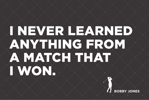# I NEVER LEARNED ANYTHING FROM A MATCH THAT I WON.

**BOBBY JONES**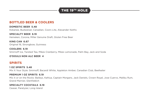## THE 19TH HOLE

#### **BOTTLED BEER & COOLERS**

**DOMESTIC BEER 5.48** Kokanee, Budweiser, Canadian, Coors Lite, Alexander Keiths

**SPECIALTY BEER 6.19** Heineken, Corona, Miller Genuine Draft, Gluten Free Beer

**KING CAN 6.67** Original 16, Strongbow, Guinness

**COOLERS 6.19** Smirnoff Ice, Twisted Tea, Mikes Cranberry, Mikes Lemonade, Palm Bay, Jack and Soda

**O'DOULS NON ALC BEER 4**

#### **SPIRITS**

**1 OZ SPIRITS 5.48** Mix It Your Style: Smirnoff, Bacardi White, Appleton Amber, Canadian Club, Beefeater

#### **PREMIUM 1 OZ SPIRITS 6.19**

Mix it or on the Rocks: Baileys, Kahlua, Captain Morgans, Jack Daniels, Crown Royal, Jose Cuervo, Malibu Rum, Grand Marnier, Glenfiddich

#### **SPECIALTY COCKTAILS 6.19**

Ceasar, Paralyzer, Long Island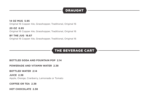## **DRAUGHT**

#### **14 OZ MUG 5.95**

Original 16 Copper Ale, Grasshopper, Traditional, Original 16

**20 OZ 6.95** Original 16 Copper Ale, Grasshopper, Traditional, Original 16

**BY THE JUG 16.67** Original 16 Copper Ale, Grasshopper, Traditional, Original 16

## THE BEVERAGE CART

**BOTTLED SODA AND FOUNTAIN POP 2.14** 

**POWERADE AND VITAMIN WATER 2.38**

**BOTTLED WATER 2.14** 

**JUICE 2.38** Apple, Orange, Cranberry, Lemonade or Tomato

**COFFEE OR TEA 2.38**

**HOT CHOCOLATE 2.38**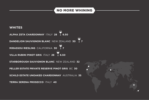## NO MORE WHINING

#### **WHITES**

**ALPHA ZETA CHARDONNAY** ITALY **28 6.50 DANDELION SAUVIGNON BLANC** NEW ZEALAND **30 7 MIRASSOU RIESLING** CALIFORNIA **30 7 VILLA RUBINI PINOT GRIS** ITALY **28 6.50 STARBOROUGH SAUVIGNON BLANC** NEW ZEALAND **32 PELLER ESTATE PRIVATE RESERVE PINOT GRIS** BC **30 SCHILD ESTATE UNOAKED CHARDONNAY** AUSTRALIA **35 TERRA SERENA PROSECCO** ITALY **40**